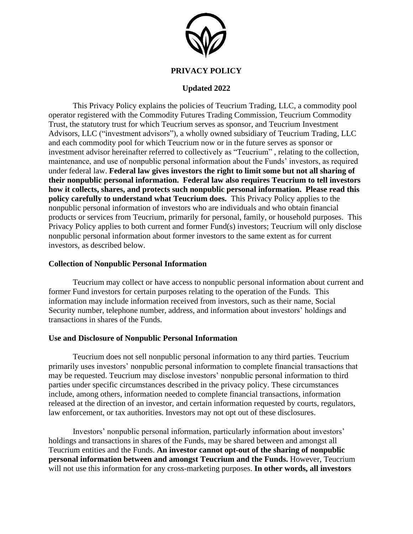

### **PRIVACY POLICY**

## **Updated 2022**

This Privacy Policy explains the policies of Teucrium Trading, LLC, a commodity pool operator registered with the Commodity Futures Trading Commission, Teucrium Commodity Trust, the statutory trust for which Teucrium serves as sponsor, and Teucrium Investment Advisors, LLC ("investment advisors"), a wholly owned subsidiary of Teucrium Trading, LLC and each commodity pool for which Teucrium now or in the future serves as sponsor or investment advisor hereinafter referred to collectively as "Teucrium" , relating to the collection, maintenance, and use of nonpublic personal information about the Funds' investors, as required under federal law. **Federal law gives investors the right to limit some but not all sharing of their nonpublic personal information. Federal law also requires Teucrium to tell investors how it collects, shares, and protects such nonpublic personal information. Please read this policy carefully to understand what Teucrium does.** This Privacy Policy applies to the nonpublic personal information of investors who are individuals and who obtain financial products or services from Teucrium, primarily for personal, family, or household purposes. This Privacy Policy applies to both current and former Fund(s) investors; Teucrium will only disclose nonpublic personal information about former investors to the same extent as for current investors, as described below.

#### **Collection of Nonpublic Personal Information**

Teucrium may collect or have access to nonpublic personal information about current and former Fund investors for certain purposes relating to the operation of the Funds. This information may include information received from investors, such as their name, Social Security number, telephone number, address, and information about investors' holdings and transactions in shares of the Funds.

#### **Use and Disclosure of Nonpublic Personal Information**

Teucrium does not sell nonpublic personal information to any third parties. Teucrium primarily uses investors' nonpublic personal information to complete financial transactions that may be requested. Teucrium may disclose investors' nonpublic personal information to third parties under specific circumstances described in the privacy policy. These circumstances include, among others, information needed to complete financial transactions, information released at the direction of an investor, and certain information requested by courts, regulators, law enforcement, or tax authorities. Investors may not opt out of these disclosures.

Investors' nonpublic personal information, particularly information about investors' holdings and transactions in shares of the Funds, may be shared between and amongst all Teucrium entities and the Funds. **An investor cannot opt-out of the sharing of nonpublic personal information between and amongst Teucrium and the Funds.** However, Teucrium will not use this information for any cross-marketing purposes. **In other words, all investors**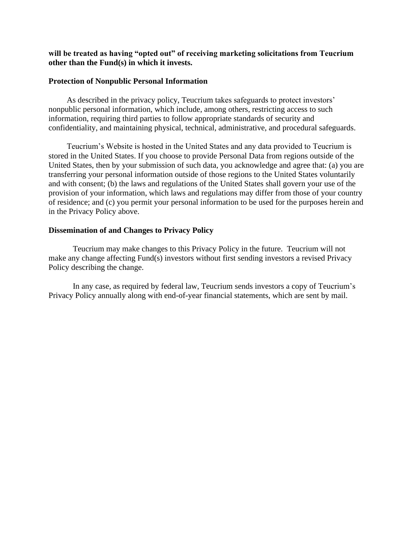### **will be treated as having "opted out" of receiving marketing solicitations from Teucrium other than the Fund(s) in which it invests.**

#### **Protection of Nonpublic Personal Information**

As described in the privacy policy, Teucrium takes safeguards to protect investors' nonpublic personal information, which include, among others, restricting access to such information, requiring third parties to follow appropriate standards of security and confidentiality, and maintaining physical, technical, administrative, and procedural safeguards.

Teucrium's Website is hosted in the United States and any data provided to Teucrium is stored in the United States. If you choose to provide Personal Data from regions outside of the United States, then by your submission of such data, you acknowledge and agree that: (a) you are transferring your personal information outside of those regions to the United States voluntarily and with consent; (b) the laws and regulations of the United States shall govern your use of the provision of your information, which laws and regulations may differ from those of your country of residence; and (c) you permit your personal information to be used for the purposes herein and in the Privacy Policy above.

### **Dissemination of and Changes to Privacy Policy**

Teucrium may make changes to this Privacy Policy in the future. Teucrium will not make any change affecting Fund(s) investors without first sending investors a revised Privacy Policy describing the change.

In any case, as required by federal law, Teucrium sends investors a copy of Teucrium's Privacy Policy annually along with end-of-year financial statements, which are sent by mail.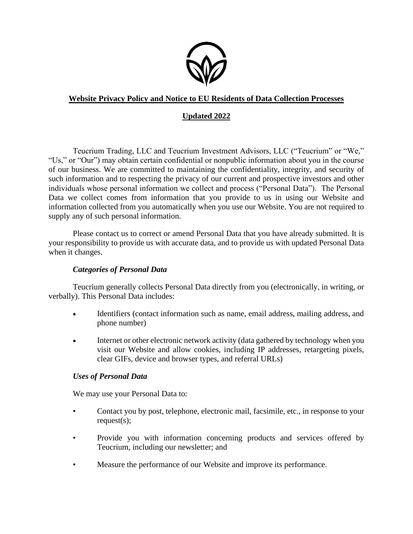

# **Website Privacy Policy and Notice to EU Residents of Data Collection Processes**

# **Updated 2022**

Teucrium Trading, LLC and Teucrium Investment Advisors, LLC ("Teucrium" or "We," "Us," or "Our") may obtain certain confidential or nonpublic information about you in the course of our business. We are committed to maintaining the confidentiality, integrity, and security of such information and to respecting the privacy of our current and prospective investors and other individuals whose personal information we collect and process ("Personal Data"). The Personal Data we collect comes from information that you provide to us in using our Website and information collected from you automatically when you use our Website. You are not required to supply any of such personal information.

Please contact us to correct or amend Personal Data that you have already submitted. It is your responsibility to provide us with accurate data, and to provide us with updated Personal Data when it changes.

# *Categories of Personal Data*

Teucrium generally collects Personal Data directly from you (electronically, in writing, or verbally). This Personal Data includes:

- Identifiers (contact information such as name, email address, mailing address, and phone number)
- Internet or other electronic network activity (data gathered by technology when you visit our Website and allow cookies, including IP addresses, retargeting pixels, clear GIFs, device and browser types, and referral URLs)

# *Uses of Personal Data*

We may use your Personal Data to:

- Contact you by post, telephone, electronic mail, facsimile, etc., in response to your request(s);
- Provide you with information concerning products and services offered by Teucrium, including our newsletter; and
- Measure the performance of our Website and improve its performance.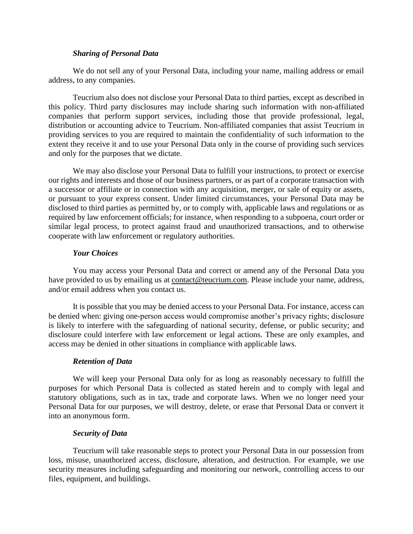### *Sharing of Personal Data*

We do not sell any of your Personal Data, including your name, mailing address or email address, to any companies.

Teucrium also does not disclose your Personal Data to third parties, except as described in this policy. Third party disclosures may include sharing such information with non-affiliated companies that perform support services, including those that provide professional, legal, distribution or accounting advice to Teucrium. Non-affiliated companies that assist Teucrium in providing services to you are required to maintain the confidentiality of such information to the extent they receive it and to use your Personal Data only in the course of providing such services and only for the purposes that we dictate.

We may also disclose your Personal Data to fulfill your instructions, to protect or exercise our rights and interests and those of our business partners, or as part of a corporate transaction with a successor or affiliate or in connection with any acquisition, merger, or sale of equity or assets, or pursuant to your express consent. Under limited circumstances, your Personal Data may be disclosed to third parties as permitted by, or to comply with, applicable laws and regulations or as required by law enforcement officials; for instance, when responding to a subpoena, court order or similar legal process, to protect against fraud and unauthorized transactions, and to otherwise cooperate with law enforcement or regulatory authorities.

### *Your Choices*

You may access your Personal Data and correct or amend any of the Personal Data you have provided to us by emailing us at contact@teucrium.com. Please include your name, address, and/or email address when you contact us.

It is possible that you may be denied access to your Personal Data. For instance, access can be denied when: giving one-person access would compromise another's privacy rights; disclosure is likely to interfere with the safeguarding of national security, defense, or public security; and disclosure could interfere with law enforcement or legal actions. These are only examples, and access may be denied in other situations in compliance with applicable laws.

### *Retention of Data*

We will keep your Personal Data only for as long as reasonably necessary to fulfill the purposes for which Personal Data is collected as stated herein and to comply with legal and statutory obligations, such as in tax, trade and corporate laws. When we no longer need your Personal Data for our purposes, we will destroy, delete, or erase that Personal Data or convert it into an anonymous form.

### *Security of Data*

Teucrium will take reasonable steps to protect your Personal Data in our possession from loss, misuse, unauthorized access, disclosure, alteration, and destruction. For example, we use security measures including safeguarding and monitoring our network, controlling access to our files, equipment, and buildings.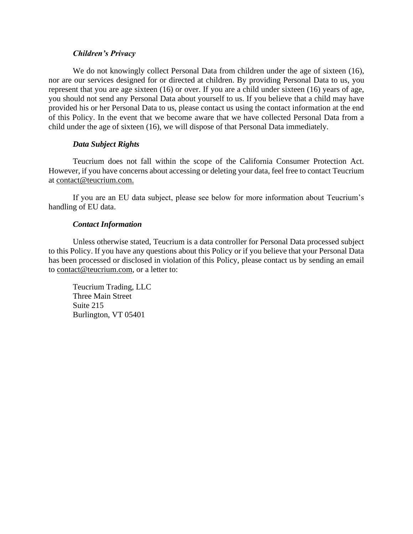### *Children's Privacy*

We do not knowingly collect Personal Data from children under the age of sixteen (16), nor are our services designed for or directed at children. By providing Personal Data to us, you represent that you are age sixteen (16) or over. If you are a child under sixteen (16) years of age, you should not send any Personal Data about yourself to us. If you believe that a child may have provided his or her Personal Data to us, please contact us using the contact information at the end of this Policy. In the event that we become aware that we have collected Personal Data from a child under the age of sixteen (16), we will dispose of that Personal Data immediately.

### *Data Subject Rights*

Teucrium does not fall within the scope of the California Consumer Protection Act. However, if you have concerns about accessing or deleting your data, feel free to contact Teucrium at contact@teucrium.com.

If you are an EU data subject, please see below for more information about Teucrium's handling of EU data.

### *Contact Information*

Unless otherwise stated, Teucrium is a data controller for Personal Data processed subject to this Policy. If you have any questions about this Policy or if you believe that your Personal Data has been processed or disclosed in violation of this Policy, please contact us by sending an email to contact@teucrium.com, or a letter to:

Teucrium Trading, LLC Three Main Street Suite 215 Burlington, VT 05401